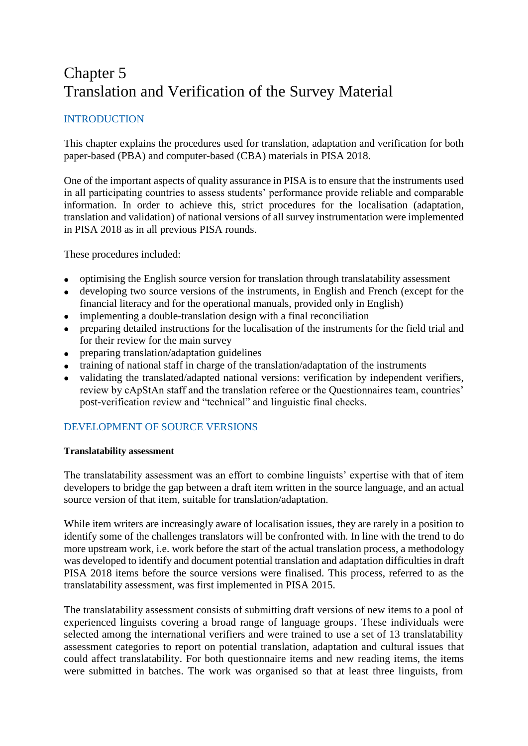# Chapter 5 Translation and Verification of the Survey Material

## INTRODUCTION

This chapter explains the procedures used for translation, adaptation and verification for both paper-based (PBA) and computer-based (CBA) materials in PISA 2018.

One of the important aspects of quality assurance in PISA is to ensure that the instruments used in all participating countries to assess students' performance provide reliable and comparable information. In order to achieve this, strict procedures for the localisation (adaptation, translation and validation) of national versions of all survey instrumentation were implemented in PISA 2018 as in all previous PISA rounds.

These procedures included:

- optimising the English source version for translation through translatability assessment
- developing two source versions of the instruments, in English and French (except for the financial literacy and for the operational manuals, provided only in English)
- implementing a double-translation design with a final reconciliation
- preparing detailed instructions for the localisation of the instruments for the field trial and for their review for the main survey
- preparing translation/adaptation guidelines
- training of national staff in charge of the translation/adaptation of the instruments
- validating the translated/adapted national versions: verification by independent verifiers, review by cApStAn staff and the translation referee or the Questionnaires team, countries' post-verification review and "technical" and linguistic final checks.

## DEVELOPMENT OF SOURCE VERSIONS

## **Translatability assessment**

The translatability assessment was an effort to combine linguists' expertise with that of item developers to bridge the gap between a draft item written in the source language, and an actual source version of that item, suitable for translation/adaptation.

While item writers are increasingly aware of localisation issues, they are rarely in a position to identify some of the challenges translators will be confronted with. In line with the trend to do more upstream work, i.e. work before the start of the actual translation process, a methodology was developed to identify and document potential translation and adaptation difficulties in draft PISA 2018 items before the source versions were finalised. This process, referred to as the translatability assessment, was first implemented in PISA 2015.

The translatability assessment consists of submitting draft versions of new items to a pool of experienced linguists covering a broad range of language groups. These individuals were selected among the international verifiers and were trained to use a set of 13 translatability assessment categories to report on potential translation, adaptation and cultural issues that could affect translatability. For both questionnaire items and new reading items, the items were submitted in batches. The work was organised so that at least three linguists, from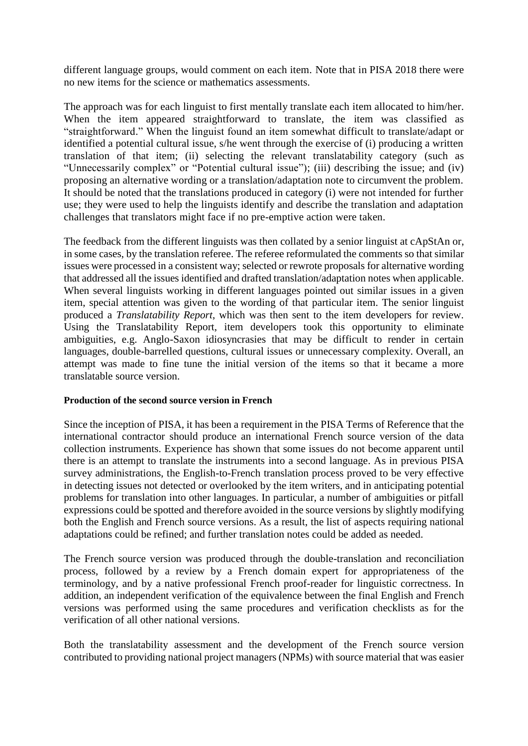different language groups, would comment on each item. Note that in PISA 2018 there were no new items for the science or mathematics assessments.

The approach was for each linguist to first mentally translate each item allocated to him/her. When the item appeared straightforward to translate, the item was classified as "straightforward." When the linguist found an item somewhat difficult to translate/adapt or identified a potential cultural issue, s/he went through the exercise of (i) producing a written translation of that item; (ii) selecting the relevant translatability category (such as "Unnecessarily complex" or "Potential cultural issue"); (iii) describing the issue; and (iv) proposing an alternative wording or a translation/adaptation note to circumvent the problem. It should be noted that the translations produced in category (i) were not intended for further use; they were used to help the linguists identify and describe the translation and adaptation challenges that translators might face if no pre-emptive action were taken.

The feedback from the different linguists was then collated by a senior linguist at cApStAn or, in some cases, by the translation referee. The referee reformulated the comments so that similar issues were processed in a consistent way; selected or rewrote proposals for alternative wording that addressed all the issues identified and drafted translation/adaptation notes when applicable. When several linguists working in different languages pointed out similar issues in a given item, special attention was given to the wording of that particular item. The senior linguist produced a *Translatability Report*, which was then sent to the item developers for review. Using the Translatability Report, item developers took this opportunity to eliminate ambiguities, e.g. Anglo-Saxon idiosyncrasies that may be difficult to render in certain languages, double-barrelled questions, cultural issues or unnecessary complexity. Overall, an attempt was made to fine tune the initial version of the items so that it became a more translatable source version.

## **Production of the second source version in French**

Since the inception of PISA, it has been a requirement in the PISA Terms of Reference that the international contractor should produce an international French source version of the data collection instruments. Experience has shown that some issues do not become apparent until there is an attempt to translate the instruments into a second language. As in previous PISA survey administrations, the English-to-French translation process proved to be very effective in detecting issues not detected or overlooked by the item writers, and in anticipating potential problems for translation into other languages. In particular, a number of ambiguities or pitfall expressions could be spotted and therefore avoided in the source versions by slightly modifying both the English and French source versions. As a result, the list of aspects requiring national adaptations could be refined; and further translation notes could be added as needed.

The French source version was produced through the double-translation and reconciliation process, followed by a review by a French domain expert for appropriateness of the terminology, and by a native professional French proof-reader for linguistic correctness. In addition, an independent verification of the equivalence between the final English and French versions was performed using the same procedures and verification checklists as for the verification of all other national versions.

Both the translatability assessment and the development of the French source version contributed to providing national project managers (NPMs) with source material that was easier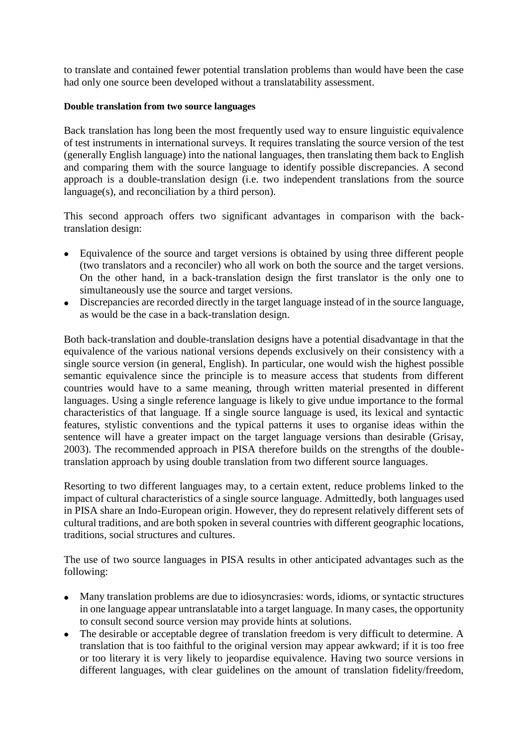to translate and contained fewer potential translation problems than would have been the case had only one source been developed without a translatability assessment.

#### **Double translation from two source languages**

Back translation has long been the most frequently used way to ensure linguistic equivalence of test instruments in international surveys. It requires translating the source version of the test (generally English language) into the national languages, then translating them back to English and comparing them with the source language to identify possible discrepancies. A second approach is a double-translation design (i.e. two independent translations from the source language(s), and reconciliation by a third person).

This second approach offers two significant advantages in comparison with the backtranslation design:

- Equivalence of the source and target versions is obtained by using three different people (two translators and a reconciler) who all work on both the source and the target versions. On the other hand, in a back-translation design the first translator is the only one to simultaneously use the source and target versions.
- Discrepancies are recorded directly in the target language instead of in the source language, as would be the case in a back-translation design.

Both back-translation and double-translation designs have a potential disadvantage in that the equivalence of the various national versions depends exclusively on their consistency with a single source version (in general, English). In particular, one would wish the highest possible semantic equivalence since the principle is to measure access that students from different countries would have to a same meaning, through written material presented in different languages. Using a single reference language is likely to give undue importance to the formal characteristics of that language. If a single source language is used, its lexical and syntactic features, stylistic conventions and the typical patterns it uses to organise ideas within the sentence will have a greater impact on the target language versions than desirable (Grisay, 2003). The recommended approach in PISA therefore builds on the strengths of the doubletranslation approach by using double translation from two different source languages.

Resorting to two different languages may, to a certain extent, reduce problems linked to the impact of cultural characteristics of a single source language. Admittedly, both languages used in PISA share an Indo-European origin. However, they do represent relatively different sets of cultural traditions, and are both spoken in several countries with different geographic locations, traditions, social structures and cultures.

The use of two source languages in PISA results in other anticipated advantages such as the following:

- Many translation problems are due to idiosyncrasies: words, idioms, or syntactic structures in one language appear untranslatable into a target language. In many cases, the opportunity to consult second source version may provide hints at solutions.
- The desirable or acceptable degree of translation freedom is very difficult to determine. A translation that is too faithful to the original version may appear awkward; if it is too free or too literary it is very likely to jeopardise equivalence. Having two source versions in different languages, with clear guidelines on the amount of translation fidelity/freedom,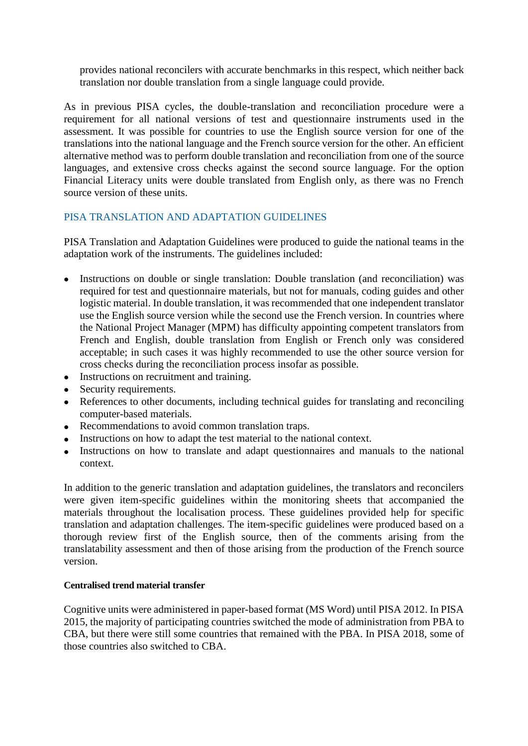provides national reconcilers with accurate benchmarks in this respect, which neither back translation nor double translation from a single language could provide.

As in previous PISA cycles, the double-translation and reconciliation procedure were a requirement for all national versions of test and questionnaire instruments used in the assessment. It was possible for countries to use the English source version for one of the translations into the national language and the French source version for the other. An efficient alternative method was to perform double translation and reconciliation from one of the source languages, and extensive cross checks against the second source language. For the option Financial Literacy units were double translated from English only, as there was no French source version of these units.

## PISA TRANSLATION AND ADAPTATION GUIDELINES

PISA Translation and Adaptation Guidelines were produced to guide the national teams in the adaptation work of the instruments. The guidelines included:

- Instructions on double or single translation: Double translation (and reconciliation) was required for test and questionnaire materials, but not for manuals, coding guides and other logistic material. In double translation, it was recommended that one independent translator use the English source version while the second use the French version. In countries where the National Project Manager (MPM) has difficulty appointing competent translators from French and English, double translation from English or French only was considered acceptable; in such cases it was highly recommended to use the other source version for cross checks during the reconciliation process insofar as possible.
- Instructions on recruitment and training.
- Security requirements.
- References to other documents, including technical guides for translating and reconciling computer-based materials.
- Recommendations to avoid common translation traps.
- Instructions on how to adapt the test material to the national context.
- Instructions on how to translate and adapt questionnaires and manuals to the national context.

In addition to the generic translation and adaptation guidelines, the translators and reconcilers were given item-specific guidelines within the monitoring sheets that accompanied the materials throughout the localisation process. These guidelines provided help for specific translation and adaptation challenges. The item-specific guidelines were produced based on a thorough review first of the English source, then of the comments arising from the translatability assessment and then of those arising from the production of the French source version.

## **Centralised trend material transfer**

Cognitive units were administered in paper-based format (MS Word) until PISA 2012. In PISA 2015, the majority of participating countries switched the mode of administration from PBA to CBA, but there were still some countries that remained with the PBA. In PISA 2018, some of those countries also switched to CBA.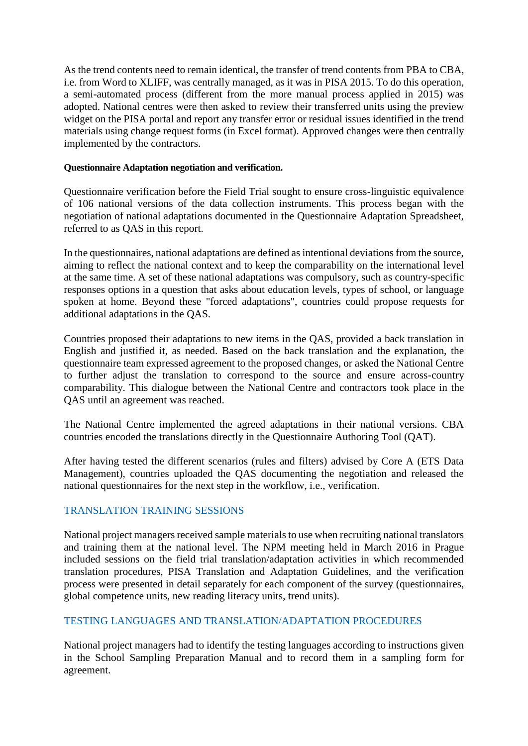As the trend contents need to remain identical, the transfer of trend contents from PBA to CBA, i.e. from Word to XLIFF, was centrally managed, as it was in PISA 2015. To do this operation, a semi-automated process (different from the more manual process applied in 2015) was adopted. National centres were then asked to review their transferred units using the preview widget on the PISA portal and report any transfer error or residual issues identified in the trend materials using change request forms (in Excel format). Approved changes were then centrally implemented by the contractors.

#### **Questionnaire Adaptation negotiation and verification.**

Questionnaire verification before the Field Trial sought to ensure cross-linguistic equivalence of 106 national versions of the data collection instruments. This process began with the negotiation of national adaptations documented in the Questionnaire Adaptation Spreadsheet, referred to as QAS in this report.

In the questionnaires, national adaptations are defined as intentional deviations from the source, aiming to reflect the national context and to keep the comparability on the international level at the same time. A set of these national adaptations was compulsory, such as country-specific responses options in a question that asks about education levels, types of school, or language spoken at home. Beyond these "forced adaptations", countries could propose requests for additional adaptations in the QAS.

Countries proposed their adaptations to new items in the QAS, provided a back translation in English and justified it, as needed. Based on the back translation and the explanation, the questionnaire team expressed agreement to the proposed changes, or asked the National Centre to further adjust the translation to correspond to the source and ensure across-country comparability. This dialogue between the National Centre and contractors took place in the QAS until an agreement was reached.

The National Centre implemented the agreed adaptations in their national versions. CBA countries encoded the translations directly in the Questionnaire Authoring Tool (QAT).

After having tested the different scenarios (rules and filters) advised by Core A (ETS Data Management), countries uploaded the QAS documenting the negotiation and released the national questionnaires for the next step in the workflow, i.e., verification.

## TRANSLATION TRAINING SESSIONS

National project managers received sample materials to use when recruiting national translators and training them at the national level. The NPM meeting held in March 2016 in Prague included sessions on the field trial translation/adaptation activities in which recommended translation procedures, PISA Translation and Adaptation Guidelines, and the verification process were presented in detail separately for each component of the survey (questionnaires, global competence units, new reading literacy units, trend units).

## TESTING LANGUAGES AND TRANSLATION/ADAPTATION PROCEDURES

National project managers had to identify the testing languages according to instructions given in the School Sampling Preparation Manual and to record them in a sampling form for agreement.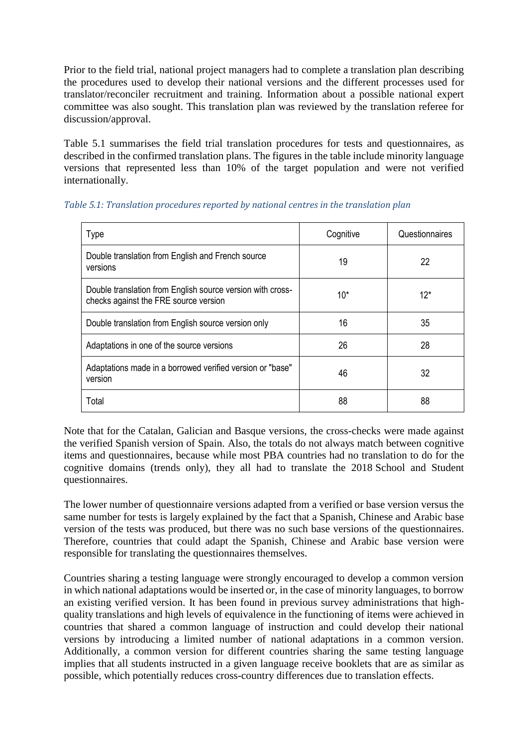Prior to the field trial, national project managers had to complete a translation plan describing the procedures used to develop their national versions and the different processes used for translator/reconciler recruitment and training. Information about a possible national expert committee was also sought. This translation plan was reviewed by the translation referee for discussion/approval.

Table 5.1 summarises the field trial translation procedures for tests and questionnaires, as described in the confirmed translation plans. The figures in the table include minority language versions that represented less than 10% of the target population and were not verified internationally.

| Type                                                                                                | Cognitive | Questionnaires |
|-----------------------------------------------------------------------------------------------------|-----------|----------------|
| Double translation from English and French source<br>versions                                       | 19        | 22             |
| Double translation from English source version with cross-<br>checks against the FRE source version | $10*$     | $12*$          |
| Double translation from English source version only                                                 | 16        | 35             |
| Adaptations in one of the source versions                                                           | 26        | 28             |
| Adaptations made in a borrowed verified version or "base"<br>version                                | 46        | 32             |
| Total                                                                                               | 88        | 88             |

Note that for the Catalan, Galician and Basque versions, the cross-checks were made against the verified Spanish version of Spain. Also, the totals do not always match between cognitive items and questionnaires, because while most PBA countries had no translation to do for the cognitive domains (trends only), they all had to translate the 2018 School and Student questionnaires.

The lower number of questionnaire versions adapted from a verified or base version versus the same number for tests is largely explained by the fact that a Spanish, Chinese and Arabic base version of the tests was produced, but there was no such base versions of the questionnaires. Therefore, countries that could adapt the Spanish, Chinese and Arabic base version were responsible for translating the questionnaires themselves.

Countries sharing a testing language were strongly encouraged to develop a common version in which national adaptations would be inserted or, in the case of minority languages, to borrow an existing verified version. It has been found in previous survey administrations that highquality translations and high levels of equivalence in the functioning of items were achieved in countries that shared a common language of instruction and could develop their national versions by introducing a limited number of national adaptations in a common version. Additionally, a common version for different countries sharing the same testing language implies that all students instructed in a given language receive booklets that are as similar as possible, which potentially reduces cross-country differences due to translation effects.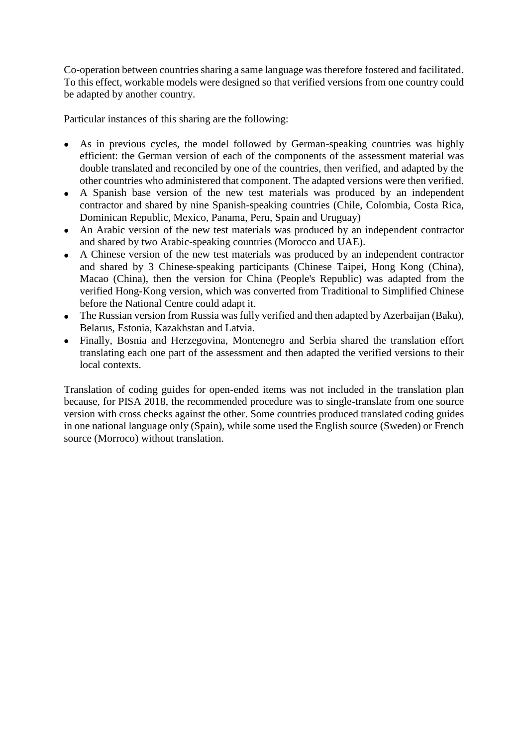Co-operation between countries sharing a same language was therefore fostered and facilitated. To this effect, workable models were designed so that verified versions from one country could be adapted by another country.

Particular instances of this sharing are the following:

- As in previous cycles, the model followed by German-speaking countries was highly efficient: the German version of each of the components of the assessment material was double translated and reconciled by one of the countries, then verified, and adapted by the other countries who administered that component. The adapted versions were then verified.
- A Spanish base version of the new test materials was produced by an independent contractor and shared by nine Spanish-speaking countries (Chile, Colombia, Costa Rica, Dominican Republic, Mexico, Panama, Peru, Spain and Uruguay)
- An Arabic version of the new test materials was produced by an independent contractor and shared by two Arabic-speaking countries (Morocco and UAE).
- A Chinese version of the new test materials was produced by an independent contractor and shared by 3 Chinese-speaking participants (Chinese Taipei, Hong Kong (China), Macao (China), then the version for China (People's Republic) was adapted from the verified Hong-Kong version, which was converted from Traditional to Simplified Chinese before the National Centre could adapt it.
- The Russian version from Russia was fully verified and then adapted by Azerbaijan (Baku), Belarus, Estonia, Kazakhstan and Latvia.
- Finally, Bosnia and Herzegovina, Montenegro and Serbia shared the translation effort translating each one part of the assessment and then adapted the verified versions to their local contexts.

Translation of coding guides for open-ended items was not included in the translation plan because, for PISA 2018, the recommended procedure was to single-translate from one source version with cross checks against the other. Some countries produced translated coding guides in one national language only (Spain), while some used the English source (Sweden) or French source (Morroco) without translation.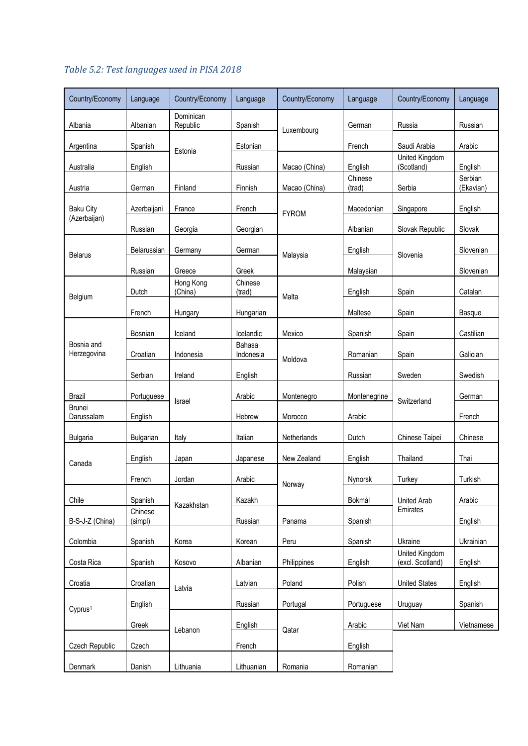| Country/Economy           | Language           | Country/Economy       | Language            | Country/Economy | Language          | Country/Economy                    | Language             |
|---------------------------|--------------------|-----------------------|---------------------|-----------------|-------------------|------------------------------------|----------------------|
| Albania                   | Albanian           | Dominican<br>Republic | Spanish             | Luxembourg      | German            | Russia                             | Russian              |
| Argentina                 | Spanish            | Estonia               | Estonian            |                 | French            | Saudi Arabia                       | Arabic               |
| Australia                 | English            |                       | Russian             | Macao (China)   | English           | United Kingdom<br>(Scotland)       | English              |
| Austria                   | German             | Finland               | Finnish             | Macao (China)   | Chinese<br>(trad) | Serbia                             | Serbian<br>(Ekavian) |
| <b>Baku City</b>          | Azerbaijani        | France                | French              | <b>FYROM</b>    | Macedonian        | Singapore                          | English              |
| (Azerbaijan)              | Russian            | Georgia               | Georgian            |                 | Albanian          | Slovak Republic                    | Slovak               |
| <b>Belarus</b>            | Belarussian        | Germany               | German              | Malaysia        | English           | Slovenia                           | Slovenian            |
|                           | Russian            | Greece                | Greek               |                 | Malaysian         |                                    | Slovenian            |
|                           | Dutch              | Hong Kong<br>(China)  | Chinese<br>(trad)   |                 | English           | Spain                              | Catalan              |
| Belgium                   | French             | Hungary               | Hungarian           | Malta           | Maltese           | Spain                              | Basque               |
|                           | Bosnian            | Iceland               | Icelandic           | Mexico          | Spanish           | Spain                              | Castilian            |
| Bosnia and<br>Herzegovina | Croatian           | Indonesia             | Bahasa<br>Indonesia |                 | Romanian          | Spain                              | Galician             |
|                           | Serbian            | Ireland               | English             | Moldova         | Russian           | Sweden                             | Swedish              |
| <b>Brazil</b>             | Portuguese         |                       | Arabic              | Montenegro      | Montenegrine      |                                    | German               |
| Brunei<br>Darussalam      | English            | Israel                | Hebrew              | Morocco         | Arabic            | Switzerland                        | French               |
| <b>Bulgaria</b>           | Bulgarian          | Italy                 | Italian             | Netherlands     | Dutch             | Chinese Taipei                     | Chinese              |
| Canada                    | English            | Japan                 | Japanese            | New Zealand     | English           | Thailand                           | Thai                 |
|                           | French             | Jordan                | Arabic              |                 | Nynorsk           | Turkey                             | Turkish              |
| Chile                     | Spanish            | Kazakhstan            | Kazakh              | Norway          | Bokmål            | <b>United Arab</b>                 | Arabic               |
| B-S-J-Z (China)           | Chinese<br>(simpl) |                       | Russian             | Panama          | Spanish           | Emirates                           | English              |
| Colombia                  | Spanish            | Korea                 | Korean              | Peru            | Spanish           | Ukraine                            | Ukrainian            |
| Costa Rica                | Spanish            | Kosovo                | Albanian            | Philippines     | English           | United Kingdom<br>(excl. Scotland) | English              |
| Croatia                   | Croatian           |                       | Latvian             | Poland          | Polish            | <b>United States</b>               | English              |
|                           | English            | Latvia                | Russian             | Portugal        | Portuguese        | Uruguay                            | Spanish              |
| Cyprus <sup>1</sup>       | Greek              |                       | English             |                 | Arabic            | Viet Nam                           | Vietnamese           |
| Czech Republic            | Czech              | Lebanon               | French              | Qatar           | English           |                                    |                      |
| Denmark                   | Danish             | Lithuania             | Lithuanian          | Romania         | Romanian          |                                    |                      |

# *Table 5.2: Test languages used in PISA 2018*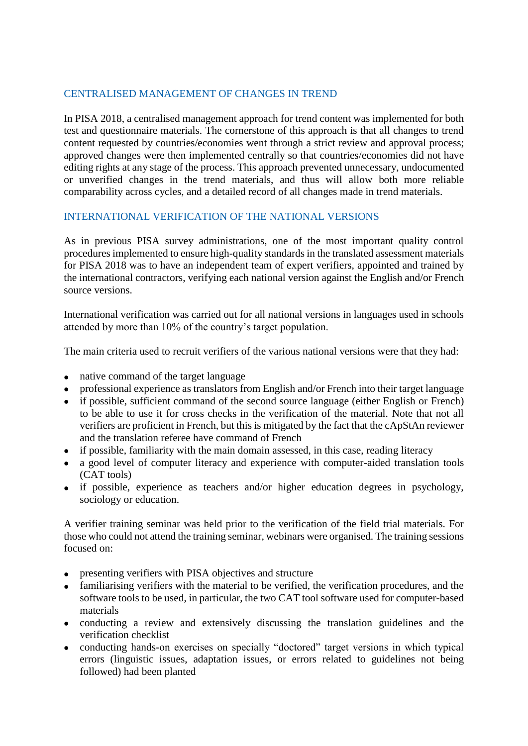## CENTRALISED MANAGEMENT OF CHANGES IN TREND

In PISA 2018, a centralised management approach for trend content was implemented for both test and questionnaire materials. The cornerstone of this approach is that all changes to trend content requested by countries/economies went through a strict review and approval process; approved changes were then implemented centrally so that countries/economies did not have editing rights at any stage of the process. This approach prevented unnecessary, undocumented or unverified changes in the trend materials, and thus will allow both more reliable comparability across cycles, and a detailed record of all changes made in trend materials.

## INTERNATIONAL VERIFICATION OF THE NATIONAL VERSIONS

As in previous PISA survey administrations, one of the most important quality control procedures implemented to ensure high-quality standards in the translated assessment materials for PISA 2018 was to have an independent team of expert verifiers, appointed and trained by the international contractors, verifying each national version against the English and/or French source versions.

International verification was carried out for all national versions in languages used in schools attended by more than 10% of the country's target population.

The main criteria used to recruit verifiers of the various national versions were that they had:

- native command of the target language
- professional experience as translators from English and/or French into their target language
- if possible, sufficient command of the second source language (either English or French) to be able to use it for cross checks in the verification of the material. Note that not all verifiers are proficient in French, but this is mitigated by the fact that the cApStAn reviewer and the translation referee have command of French
- if possible, familiarity with the main domain assessed, in this case, reading literacy
- a good level of computer literacy and experience with computer-aided translation tools (CAT tools)
- if possible, experience as teachers and/or higher education degrees in psychology, sociology or education.

A verifier training seminar was held prior to the verification of the field trial materials. For those who could not attend the training seminar, webinars were organised. The training sessions focused on:

- presenting verifiers with PISA objectives and structure
- familiarising verifiers with the material to be verified, the verification procedures, and the software tools to be used, in particular, the two CAT tool software used for computer-based materials
- conducting a review and extensively discussing the translation guidelines and the verification checklist
- conducting hands-on exercises on specially "doctored" target versions in which typical errors (linguistic issues, adaptation issues, or errors related to guidelines not being followed) had been planted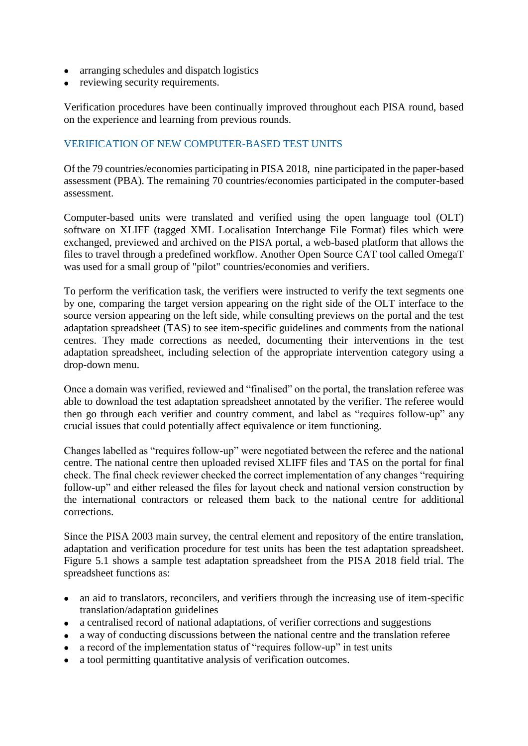- arranging schedules and dispatch logistics
- reviewing security requirements.

Verification procedures have been continually improved throughout each PISA round, based on the experience and learning from previous rounds.

## VERIFICATION OF NEW COMPUTER-BASED TEST UNITS

Of the 79 countries/economies participating in PISA 2018, nine participated in the paper-based assessment (PBA). The remaining 70 countries/economies participated in the computer-based assessment.

Computer-based units were translated and verified using the open language tool (OLT) software on XLIFF (tagged XML Localisation Interchange File Format) files which were exchanged, previewed and archived on the PISA portal, a web-based platform that allows the files to travel through a predefined workflow. Another Open Source CAT tool called OmegaT was used for a small group of "pilot" countries/economies and verifiers.

To perform the verification task, the verifiers were instructed to verify the text segments one by one, comparing the target version appearing on the right side of the OLT interface to the source version appearing on the left side, while consulting previews on the portal and the test adaptation spreadsheet (TAS) to see item-specific guidelines and comments from the national centres. They made corrections as needed, documenting their interventions in the test adaptation spreadsheet, including selection of the appropriate intervention category using a drop-down menu.

Once a domain was verified, reviewed and "finalised" on the portal, the translation referee was able to download the test adaptation spreadsheet annotated by the verifier. The referee would then go through each verifier and country comment, and label as "requires follow-up" any crucial issues that could potentially affect equivalence or item functioning.

Changes labelled as "requires follow-up" were negotiated between the referee and the national centre. The national centre then uploaded revised XLIFF files and TAS on the portal for final check. The final check reviewer checked the correct implementation of any changes "requiring follow-up" and either released the files for layout check and national version construction by the international contractors or released them back to the national centre for additional corrections.

Since the PISA 2003 main survey, the central element and repository of the entire translation, adaptation and verification procedure for test units has been the test adaptation spreadsheet. Figure 5.1 shows a sample test adaptation spreadsheet from the PISA 2018 field trial. The spreadsheet functions as:

- an aid to translators, reconcilers, and verifiers through the increasing use of item-specific translation/adaptation guidelines
- a centralised record of national adaptations, of verifier corrections and suggestions
- a way of conducting discussions between the national centre and the translation referee
- a record of the implementation status of "requires follow-up" in test units
- a tool permitting quantitative analysis of verification outcomes.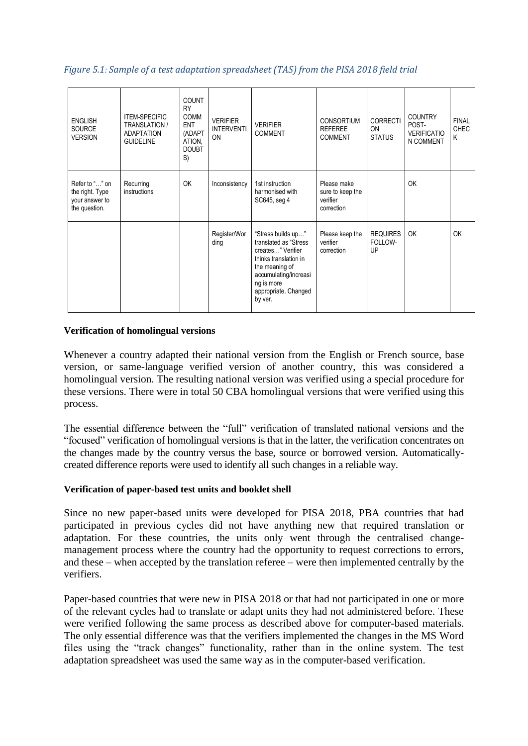### *Figure 5.1: Sample of a test adaptation spreadsheet (TAS) from the PISA 2018 field trial*

| <b>ENGLISH</b><br><b>SOURCE</b><br><b>VERSION</b>                    | <b>ITEM-SPECIFIC</b><br><b>TRANSLATION /</b><br><b>ADAPTATION</b><br><b>GUIDELINE</b> | <b>COUNT</b><br><b>RY</b><br><b>COMM</b><br><b>ENT</b><br>(ADAPT<br>ATION,<br><b>DOUBT</b><br>S) | <b>VERIFIER</b><br><b>INTERVENTI</b><br>ON | <b>VERIFIER</b><br><b>COMMENT</b>                                                                                                                                                      | <b>CONSORTIUM</b><br><b>REFEREE</b><br><b>COMMENT</b>     | <b>CORRECTI</b><br>ON<br><b>STATUS</b> | <b>COUNTRY</b><br>POST-<br><b>VERIFICATIO</b><br>N COMMENT | <b>FINAL</b><br><b>CHEC</b><br>K |
|----------------------------------------------------------------------|---------------------------------------------------------------------------------------|--------------------------------------------------------------------------------------------------|--------------------------------------------|----------------------------------------------------------------------------------------------------------------------------------------------------------------------------------------|-----------------------------------------------------------|----------------------------------------|------------------------------------------------------------|----------------------------------|
| Refer to "" on<br>the right. Type<br>your answer to<br>the question. | Recurring<br>instructions                                                             | <b>OK</b>                                                                                        | Inconsistency                              | 1st instruction<br>harmonised with<br>SC645, seg 4                                                                                                                                     | Please make<br>sure to keep the<br>verifier<br>correction |                                        | <b>OK</b>                                                  |                                  |
|                                                                      |                                                                                       |                                                                                                  | Register/Wor<br>ding                       | "Stress builds up"<br>translated as "Stress"<br>creates" Verifier<br>thinks translation in<br>the meaning of<br>accumulating/increasi<br>ng is more<br>appropriate. Changed<br>by ver. | Please keep the<br>verifier<br>correction                 | <b>REQUIRES</b><br>FOLLOW-<br>UP       | <b>OK</b>                                                  | <b>OK</b>                        |

#### **Verification of homolingual versions**

Whenever a country adapted their national version from the English or French source, base version, or same-language verified version of another country, this was considered a homolingual version. The resulting national version was verified using a special procedure for these versions. There were in total 50 CBA homolingual versions that were verified using this process.

The essential difference between the "full" verification of translated national versions and the "focused" verification of homolingual versions is that in the latter, the verification concentrates on the changes made by the country versus the base, source or borrowed version. Automaticallycreated difference reports were used to identify all such changes in a reliable way.

## **Verification of paper-based test units and booklet shell**

Since no new paper-based units were developed for PISA 2018, PBA countries that had participated in previous cycles did not have anything new that required translation or adaptation. For these countries, the units only went through the centralised changemanagement process where the country had the opportunity to request corrections to errors, and these – when accepted by the translation referee – were then implemented centrally by the verifiers.

Paper-based countries that were new in PISA 2018 or that had not participated in one or more of the relevant cycles had to translate or adapt units they had not administered before. These were verified following the same process as described above for computer-based materials. The only essential difference was that the verifiers implemented the changes in the MS Word files using the "track changes" functionality, rather than in the online system. The test adaptation spreadsheet was used the same way as in the computer-based verification.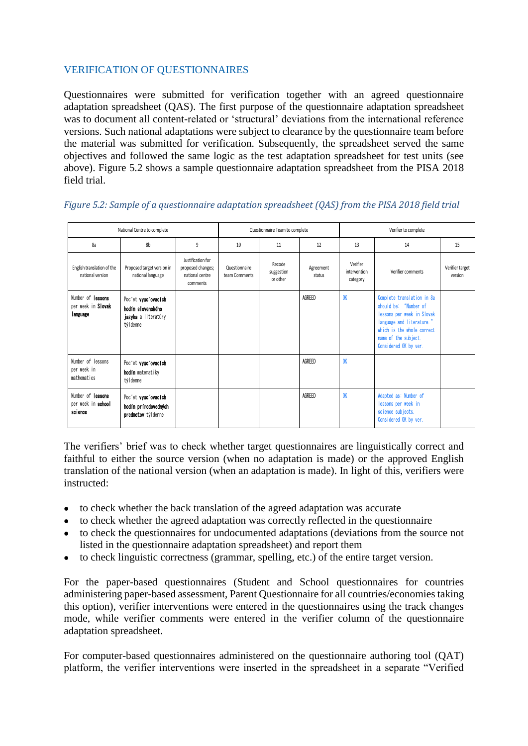## VERIFICATION OF QUESTIONNAIRES

Questionnaires were submitted for verification together with an agreed questionnaire adaptation spreadsheet (QAS). The first purpose of the questionnaire adaptation spreadsheet was to document all content-related or 'structural' deviations from the international reference versions. Such national adaptations were subject to clearance by the questionnaire team before the material was submitted for verification. Subsequently, the spreadsheet served the same objectives and followed the same logic as the test adaptation spreadsheet for test units (see above). Figure 5.2 shows a sample questionnaire adaptation spreadsheet from the PISA 2018 field trial.

| National Centre to complete                         |                                                                             |                                                                       | Questionnaire Team to complete |                                  |                     | Verifier to complete                 |                                                                                                                                                                                               |                            |
|-----------------------------------------------------|-----------------------------------------------------------------------------|-----------------------------------------------------------------------|--------------------------------|----------------------------------|---------------------|--------------------------------------|-----------------------------------------------------------------------------------------------------------------------------------------------------------------------------------------------|----------------------------|
| 8a                                                  | 8b                                                                          | 9                                                                     | 10                             | 11                               | 12                  | 13                                   | 14                                                                                                                                                                                            | 15                         |
| English translation of the<br>national version      | Proposed target version in<br>national language                             | Justification for<br>proposed changes;<br>national centre<br>comments | Questionnaire<br>team Comments | Recode<br>suggestion<br>or other | Agreement<br>status | Verifier<br>intervention<br>category | Verifier comments                                                                                                                                                                             | Verifier target<br>version |
| Number of lessons<br>per week in Slovak<br>language | Poc'et vyuc'ovacích<br>hodín slovenského<br>jazyka a literatúry<br>týldenne |                                                                       |                                |                                  | AGREED              | <b>OK</b>                            | Complete translation in 8a<br>should be: "Number of<br>lessons per week in Slovak<br>language and literature."<br>which is the whole correct<br>name of the subject.<br>Considered OK by ver. |                            |
| Number of lessons<br>per week in<br>mathematics     | Poc'et vyuc'ovacích<br>hodín matematiky<br>týldenne                         |                                                                       |                                |                                  | AGREED              | <b>OK</b>                            |                                                                                                                                                                                               |                            |
| Number of lessons<br>per week in school<br>science  | Poc'et vyuc'ovacich<br>hodín prírodovedných<br>predmetov týl denne          |                                                                       |                                |                                  | AGREED              | <b>OK</b>                            | Adapted as: Number of<br>lessons per week in<br>science subjects.<br>Considered OK by ver.                                                                                                    |                            |

## *Figure 5.2: Sample of a questionnaire adaptation spreadsheet (QAS) from the PISA 2018 field trial*

The verifiers' brief was to check whether target questionnaires are linguistically correct and faithful to either the source version (when no adaptation is made) or the approved English translation of the national version (when an adaptation is made). In light of this, verifiers were instructed:

- to check whether the back translation of the agreed adaptation was accurate
- to check whether the agreed adaptation was correctly reflected in the questionnaire
- to check the questionnaires for undocumented adaptations (deviations from the source not listed in the questionnaire adaptation spreadsheet) and report them
- to check linguistic correctness (grammar, spelling, etc.) of the entire target version.

For the paper-based questionnaires (Student and School questionnaires for countries administering paper-based assessment, Parent Questionnaire for all countries/economies taking this option), verifier interventions were entered in the questionnaires using the track changes mode, while verifier comments were entered in the verifier column of the questionnaire adaptation spreadsheet.

For computer-based questionnaires administered on the questionnaire authoring tool (QAT) platform, the verifier interventions were inserted in the spreadsheet in a separate "Verified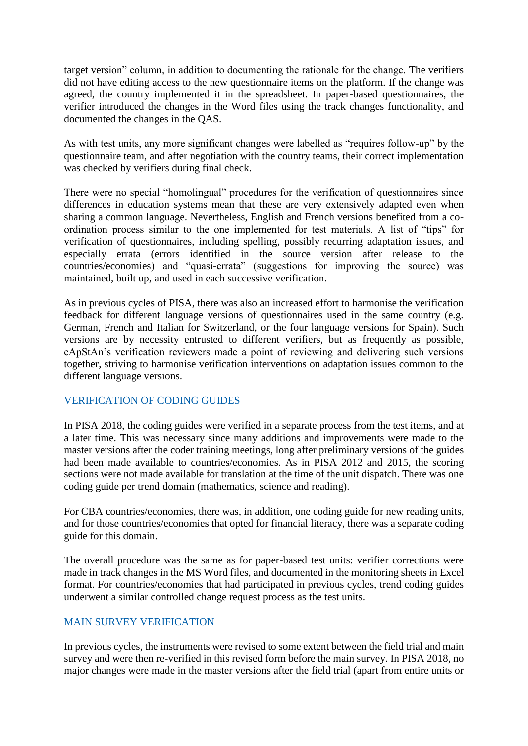target version" column, in addition to documenting the rationale for the change. The verifiers did not have editing access to the new questionnaire items on the platform. If the change was agreed, the country implemented it in the spreadsheet. In paper-based questionnaires, the verifier introduced the changes in the Word files using the track changes functionality, and documented the changes in the QAS.

As with test units, any more significant changes were labelled as "requires follow-up" by the questionnaire team, and after negotiation with the country teams, their correct implementation was checked by verifiers during final check.

There were no special "homolingual" procedures for the verification of questionnaires since differences in education systems mean that these are very extensively adapted even when sharing a common language. Nevertheless, English and French versions benefited from a coordination process similar to the one implemented for test materials. A list of "tips" for verification of questionnaires, including spelling, possibly recurring adaptation issues, and especially errata (errors identified in the source version after release to the countries/economies) and "quasi-errata" (suggestions for improving the source) was maintained, built up, and used in each successive verification.

As in previous cycles of PISA, there was also an increased effort to harmonise the verification feedback for different language versions of questionnaires used in the same country (e.g. German, French and Italian for Switzerland, or the four language versions for Spain). Such versions are by necessity entrusted to different verifiers, but as frequently as possible, cApStAn's verification reviewers made a point of reviewing and delivering such versions together, striving to harmonise verification interventions on adaptation issues common to the different language versions.

## VERIFICATION OF CODING GUIDES

In PISA 2018, the coding guides were verified in a separate process from the test items, and at a later time. This was necessary since many additions and improvements were made to the master versions after the coder training meetings, long after preliminary versions of the guides had been made available to countries/economies. As in PISA 2012 and 2015, the scoring sections were not made available for translation at the time of the unit dispatch. There was one coding guide per trend domain (mathematics, science and reading).

For CBA countries/economies, there was, in addition, one coding guide for new reading units, and for those countries/economies that opted for financial literacy, there was a separate coding guide for this domain.

The overall procedure was the same as for paper-based test units: verifier corrections were made in track changes in the MS Word files, and documented in the monitoring sheets in Excel format. For countries/economies that had participated in previous cycles, trend coding guides underwent a similar controlled change request process as the test units.

## MAIN SURVEY VERIFICATION

In previous cycles, the instruments were revised to some extent between the field trial and main survey and were then re-verified in this revised form before the main survey. In PISA 2018, no major changes were made in the master versions after the field trial (apart from entire units or